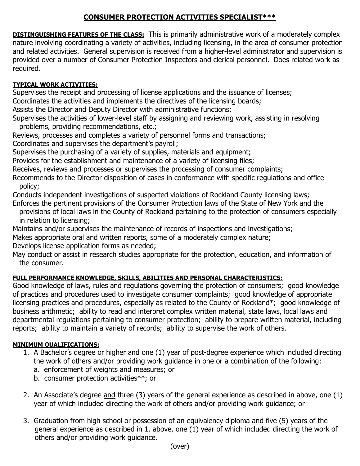## **CONSUMER PROTECTION ACTIVITIES SPECIALIST\*\*\***

**DISTINGUISHING FEATURES OF THE CLASS:** This is primarily administrative work of a moderately complex nature involving coordinating a variety of activities, including licensing, in the area of consumer protection and related activities. General supervision is received from a higher-level administrator and supervision is provided over a number of Consumer Protection Inspectors and clerical personnel. Does related work as required.

## **TYPICAL WORK ACTIVITIES:**

Supervises the receipt and processing of license applications and the issuance of licenses;

Coordinates the activities and implements the directives of the licensing boards;

Assists the Director and Deputy Director with administrative functions;

Supervises the activities of lower-level staff by assigning and reviewing work, assisting in resolving problems, providing recommendations, etc.;

Reviews, processes and completes a variety of personnel forms and transactions;

Coordinates and supervises the department's payroll;

Supervises the purchasing of a variety of supplies, materials and equipment;

Provides for the establishment and maintenance of a variety of licensing files;

Receives, reviews and processes or supervises the processing of consumer complaints;

Recommends to the Director disposition of cases in conformance with specific regulations and office policy;

Conducts independent investigations of suspected violations of Rockland County licensing laws; Enforces the pertinent provisions of the Consumer Protection laws of the State of New York and the

 provisions of local laws in the County of Rockland pertaining to the protection of consumers especially in relation to licensing;

Maintains and/or supervises the maintenance of records of inspections and investigations;

Makes appropriate oral and written reports, some of a moderately complex nature;

Develops license application forms as needed;

May conduct or assist in research studies appropriate for the protection, education, and information of the consumer.

## **FULL PERFORMANCE KNOWLEDGE, SKILLS, ABILITIES AND PERSONAL CHARACTERISTICS:**

Good knowledge of laws, rules and regulations governing the protection of consumers; good knowledge of practices and procedures used to investigate consumer complaints; good knowledge of appropriate licensing practices and procedures, especially as related to the County of Rockland\*; good knowledge of business arithmetic; ability to read and interpret complex written material, state laws, local laws and departmental regulations pertaining to consumer protection; ability to prepare written material, including reports; ability to maintain a variety of records; ability to supervise the work of others.

## **MINIMUM QUALIFICATIONS:**

- 1. A Bachelor's degree or higher and one (1) year of post-degree experience which included directing the work of others and/or providing work guidance in one or a combination of the following:
	- a. enforcement of weights and measures; or
	- b. consumer protection activities\*\*; or
- 2. An Associate's degree and three (3) years of the general experience as described in above, one (1) year of which included directing the work of others and/or providing work guidance; or
- 3. Graduation from high school or possession of an equivalency diploma and five (5) years of the general experience as described in 1. above, one (1) year of which included directing the work of others and/or providing work guidance.